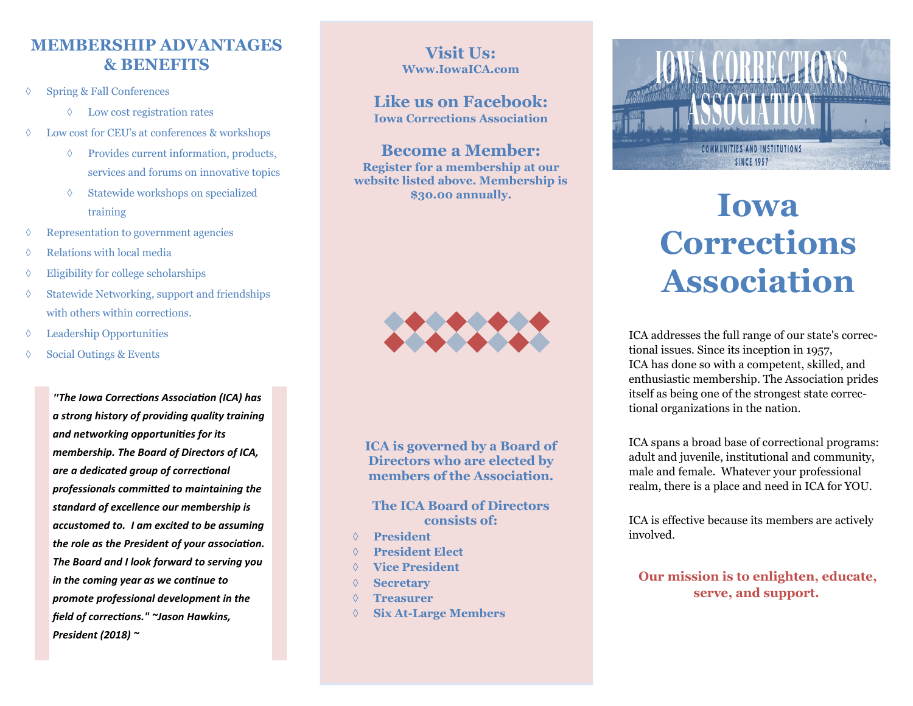# **MEMBERSHIP ADVANTAGES & BENEFITS**

- Spring & Fall Conferences
	- Low cost registration rates
- Low cost for CEU's at conferences & workshops
	- Provides current information, products, services and forums on innovative topics
	- Statewide workshops on specialized training
- Representation to government agencies
- $\Diamond$  Relations with local media
- $\Diamond$  Eligibility for college scholarships
- $\Diamond$  Statewide Networking, support and friendships with others within corrections.
- Leadership Opportunities
- $\Diamond$  Social Outings & Events

*"The Iowa Corrections Association (ICA) has a strong history of providing quality training and networking opportunities for its membership. The Board of Directors of ICA, are a dedicated group of correctional professionals committed to maintaining the standard of excellence our membership is accustomed to. I am excited to be assuming the role as the President of your association. The Board and I look forward to serving you in the coming year as we continue to promote professional development in the field of corrections." ~Jason Hawkins, President (2018) ~*

## **Visit Us: Www.IowaICA.com**

#### **Like us on Facebook: Iowa Corrections Association**

**Become a Member: Register for a membership at our website listed above. Membership is \$30.00 annually.** 



**ICA is governed by a Board of Directors who are elected by members of the Association.** 

#### **The ICA Board of Directors consists of:**

- **President**
- **President Elect**
- **Vice President**
- **Secretary**
- **Treasurer**
- **Six At-Large Members**



# **Iowa Corrections Association**

ICA addresses the full range of our state's correctional issues. Since its inception in 1957, ICA has done so with a competent, skilled, and enthusiastic membership. The Association prides itself as being one of the strongest state correctional organizations in the nation.

ICA spans a broad base of correctional programs: adult and juvenile, institutional and community, male and female. Whatever your professional realm, there is a place and need in ICA for YOU.

ICA is effective because its members are actively involved.

**Our mission is to enlighten, educate, serve, and support.**